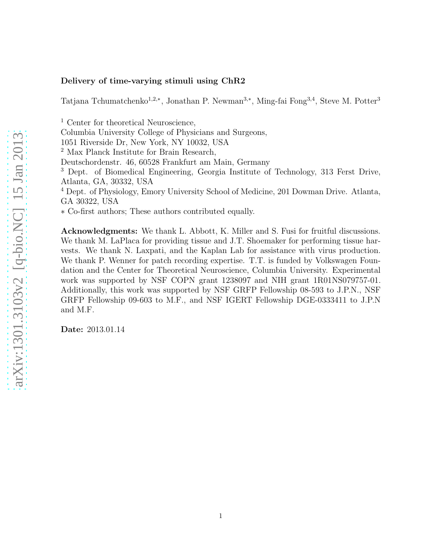### Delivery of time-varying stimuli using ChR2

Tatjana Tchumatchenko<sup>1,2,∗</sup>, Jonathan P. Newman<sup>3,∗</sup>, Ming-fai Fong<sup>3,4</sup>, Steve M. Potter<sup>3</sup>

 $^{\rm 1}$  Center for theoretical Neuroscience,

Columbia University College of Physicians and Surgeons,

1051 Riverside Dr, New York, NY 10032, USA

<sup>2</sup> Max Planck Institute for Brain Research,

Deutschordenstr. 46, 60528 Frankfurt am Main, Germany

<sup>3</sup> Dept. of Biomedical Engineering, Georgia Institute of Technology, 313 Ferst Drive, Atlanta, GA, 30332, USA

<sup>4</sup> Dept. of Physiology, Emory University School of Medicine, 201 Dowman Drive. Atlanta, GA 30322, USA

∗ Co-first authors; These authors contributed equally.

Acknowledgments: We thank L. Abbott, K. Miller and S. Fusi for fruitful discussions. We thank M. LaPlaca for providing tissue and J.T. Shoemaker for performing tissue harvests. We thank N. Laxpati, and the Kaplan Lab for assistance with virus production. We thank P. Wenner for patch recording expertise. T.T. is funded by Volkswagen Foundation and the Center for Theoretical Neuroscience, Columbia University. Experimental work was supported by NSF COPN grant 1238097 and NIH grant 1R01NS079757-01. Additionally, this work was supported by NSF GRFP Fellowship 08-593 to J.P.N., NSF GRFP Fellowship 09-603 to M.F., and NSF IGERT Fellowship DGE-0333411 to J.P.N and M.F.

Date: 2013.01.14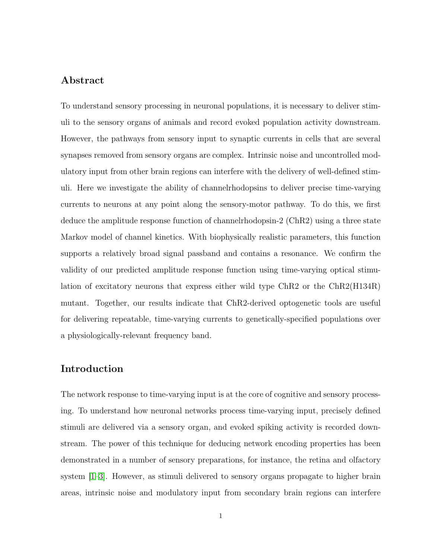## Abstract

To understand sensory processing in neuronal populations, it is necessary to deliver stimuli to the sensory organs of animals and record evoked population activity downstream. However, the pathways from sensory input to synaptic currents in cells that are several synapses removed from sensory organs are complex. Intrinsic noise and uncontrolled modulatory input from other brain regions can interfere with the delivery of well-defined stimuli. Here we investigate the ability of channelrhodopsins to deliver precise time-varying currents to neurons at any point along the sensory-motor pathway. To do this, we first deduce the amplitude response function of channelrhodopsin-2 (ChR2) using a three state Markov model of channel kinetics. With biophysically realistic parameters, this function supports a relatively broad signal passband and contains a resonance. We confirm the validity of our predicted amplitude response function using time-varying optical stimulation of excitatory neurons that express either wild type ChR2 or the ChR2(H134R) mutant. Together, our results indicate that ChR2-derived optogenetic tools are useful for delivering repeatable, time-varying currents to genetically-specified populations over a physiologically-relevant frequency band.

## Introduction

The network response to time-varying input is at the core of cognitive and sensory processing. To understand how neuronal networks process time-varying input, precisely defined stimuli are delivered via a sensory organ, and evoked spiking activity is recorded downstream. The power of this technique for deducing network encoding properties has been demonstrated in a number of sensory preparations, for instance, the retina and olfactory system [\[1](#page-13-0)[–3\]](#page-14-0). However, as stimuli delivered to sensory organs propagate to higher brain areas, intrinsic noise and modulatory input from secondary brain regions can interfere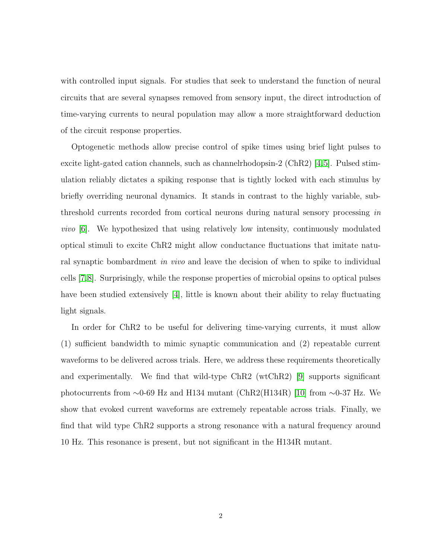with controlled input signals. For studies that seek to understand the function of neural circuits that are several synapses removed from sensory input, the direct introduction of time-varying currents to neural population may allow a more straightforward deduction of the circuit response properties.

Optogenetic methods allow precise control of spike times using brief light pulses to excite light-gated cation channels, such as channelrhodopsin-2 (ChR2) [\[4,](#page-14-1)[5\]](#page-14-2). Pulsed stimulation reliably dictates a spiking response that is tightly locked with each stimulus by briefly overriding neuronal dynamics. It stands in contrast to the highly variable, subthreshold currents recorded from cortical neurons during natural sensory processing in vivo [\[6\]](#page-14-3). We hypothesized that using relatively low intensity, continuously modulated optical stimuli to excite ChR2 might allow conductance fluctuations that imitate natural synaptic bombardment in vivo and leave the decision of when to spike to individual cells [\[7,](#page-14-4)[8\]](#page-14-5). Surprisingly, while the response properties of microbial opsins to optical pulses have been studied extensively [\[4\]](#page-14-1), little is known about their ability to relay fluctuating light signals.

In order for ChR2 to be useful for delivering time-varying currents, it must allow (1) sufficient bandwidth to mimic synaptic communication and (2) repeatable current waveforms to be delivered across trials. Here, we address these requirements theoretically and experimentally. We find that wild-type ChR2 (wtChR2) [\[9\]](#page-14-6) supports significant photocurrents from ∼0-69 Hz and H134 mutant (ChR2(H134R) [\[10\]](#page-14-7) from ∼0-37 Hz. We show that evoked current waveforms are extremely repeatable across trials. Finally, we find that wild type ChR2 supports a strong resonance with a natural frequency around 10 Hz. This resonance is present, but not significant in the H134R mutant.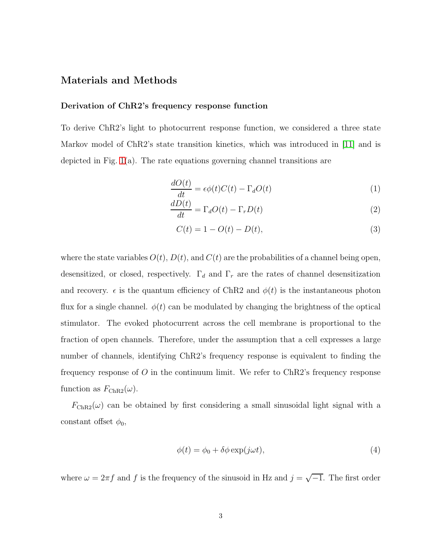## Materials and Methods

#### Derivation of ChR2's frequency response function

To derive ChR2's light to photocurrent response function, we considered a three state Markov model of ChR2's state transition kinetics, which was introduced in [\[11\]](#page-14-8) and is depicted in Fig. [1\(](#page-16-0)a). The rate equations governing channel transitions are

<span id="page-3-0"></span>
$$
\frac{dO(t)}{dt} = \epsilon \phi(t)C(t) - \Gamma_d O(t)
$$
\n(1)

$$
\frac{d\ddot{D}(t)}{dt} = \Gamma_d O(t) - \Gamma_r D(t)
$$
\n(2)

<span id="page-3-2"></span><span id="page-3-1"></span>
$$
C(t) = 1 - O(t) - D(t),
$$
\n(3)

where the state variables  $O(t)$ ,  $D(t)$ , and  $C(t)$  are the probabilities of a channel being open, desensitized, or closed, respectively.  $\Gamma_d$  and  $\Gamma_r$  are the rates of channel desensitization and recovery.  $\epsilon$  is the quantum efficiency of ChR2 and  $\phi(t)$  is the instantaneous photon flux for a single channel.  $\phi(t)$  can be modulated by changing the brightness of the optical stimulator. The evoked photocurrent across the cell membrane is proportional to the fraction of open channels. Therefore, under the assumption that a cell expresses a large number of channels, identifying ChR2's frequency response is equivalent to finding the frequency response of  $\overline{O}$  in the continuum limit. We refer to ChR2's frequency response function as  $F_{\text{ChR2}}(\omega)$ .

 $F_{\text{ChR2}}(\omega)$  can be obtained by first considering a small sinusoidal light signal with a constant offset  $\phi_0$ ,

$$
\phi(t) = \phi_0 + \delta\phi \exp(j\omega t),\tag{4}
$$

where  $\omega = 2\pi f$  and f is the frequency of the sinusoid in Hz and  $j = \sqrt{-1}$ . The first order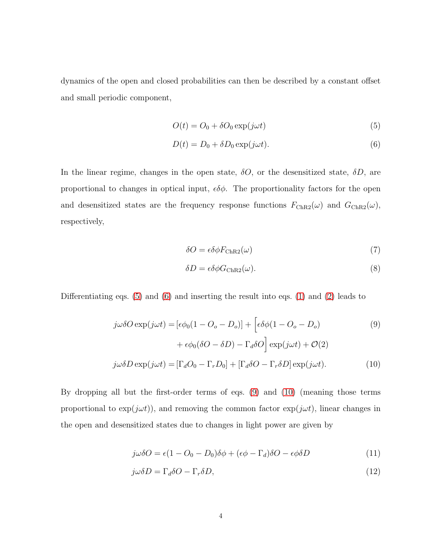dynamics of the open and closed probabilities can then be described by a constant offset and small periodic component,

<span id="page-4-0"></span>
$$
O(t) = O_0 + \delta O_0 \exp(j\omega t)
$$
\n<sup>(5)</sup>

<span id="page-4-1"></span>
$$
D(t) = D_0 + \delta D_0 \exp(j\omega t). \tag{6}
$$

In the linear regime, changes in the open state,  $\delta O$ , or the desensitized state,  $\delta D$ , are proportional to changes in optical input,  $\epsilon \delta \phi$ . The proportionality factors for the open and desensitized states are the frequency response functions  $F_{\text{ChR2}}(\omega)$  and  $G_{\text{ChR2}}(\omega)$ , respectively,

<span id="page-4-4"></span>
$$
\delta O = \epsilon \delta \phi F_{\text{ChR2}}(\omega) \tag{7}
$$

<span id="page-4-3"></span><span id="page-4-2"></span>
$$
\delta D = \epsilon \delta \phi G_{\text{ChR2}}(\omega). \tag{8}
$$

Differentiating eqs. [\(5\)](#page-4-0) and [\(6\)](#page-4-1) and inserting the result into eqs. [\(1\)](#page-3-0) and [\(2\)](#page-3-1) leads to

$$
j\omega\delta O \exp(j\omega t) = [\epsilon\phi_0(1 - O_o - D_o)] + [\epsilon\delta\phi(1 - O_o - D_o) \tag{9}
$$

$$
+ \epsilon\phi_0(\delta O - \delta D) - \Gamma_d\delta O] \exp(j\omega t) + \mathcal{O}(2)
$$

$$
j\omega\delta D \exp(j\omega t) = [\Gamma_d O_0 - \Gamma_r D_0] + [\Gamma_d \delta O - \Gamma_r \delta D] \exp(j\omega t). \tag{10}
$$

By dropping all but the first-order terms of eqs. [\(9\)](#page-4-2) and [\(10\)](#page-4-3) (meaning those terms proportional to  $\exp(j\omega t)$ , and removing the common factor  $\exp(j\omega t)$ , linear changes in the open and desensitized states due to changes in light power are given by

$$
j\omega\delta O = \epsilon(1 - O_0 - D_0)\delta\phi + (\epsilon\phi - \Gamma_d)\delta O - \epsilon\phi\delta D \tag{11}
$$

$$
j\omega\delta D = \Gamma_d \delta O - \Gamma_r \delta D,\tag{12}
$$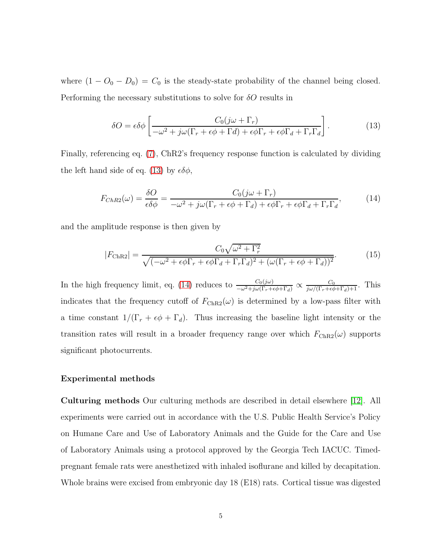where  $(1 - O_0 - D_0) = C_0$  is the steady-state probability of the channel being closed. Performing the necessary substitutions to solve for  $\delta O$  results in

<span id="page-5-1"></span><span id="page-5-0"></span>
$$
\delta O = \epsilon \delta \phi \left[ \frac{C_0 (j\omega + \Gamma_r)}{-\omega^2 + j\omega(\Gamma_r + \epsilon \phi + \Gamma d) + \epsilon \phi \Gamma_r + \epsilon \phi \Gamma_d + \Gamma_r \Gamma_d} \right].
$$
 (13)

Finally, referencing eq. [\(7\)](#page-4-4), ChR2's frequency response function is calculated by dividing the left hand side of eq. [\(13\)](#page-5-0) by  $\epsilon \delta \phi$ ,

$$
F_{ChR2}(\omega) = \frac{\delta O}{\epsilon \delta \phi} = \frac{C_0(j\omega + \Gamma_r)}{-\omega^2 + j\omega(\Gamma_r + \epsilon \phi + \Gamma_d) + \epsilon \phi \Gamma_r + \epsilon \phi \Gamma_d + \Gamma_r \Gamma_d},\tag{14}
$$

and the amplitude response is then given by

<span id="page-5-2"></span>
$$
|F_{\text{ChR2}}| = \frac{C_0 \sqrt{\omega^2 + \Gamma_r^2}}{\sqrt{(-\omega^2 + \epsilon \phi \Gamma_r + \epsilon \phi \Gamma_d + \Gamma_r \Gamma_d)^2 + (\omega (\Gamma_r + \epsilon \phi + \Gamma_d))^2}}.
$$
(15)

In the high frequency limit, eq. [\(14\)](#page-5-1) reduces to  $\frac{C_0(j\omega)}{-\omega^2+j\omega(\Gamma_r+\epsilon\phi+\Gamma_d)} \propto \frac{C_0}{j\omega/(\Gamma_r+\epsilon\phi+\Gamma_d)+1}$ . This indicates that the frequency cutoff of  $F_{\text{ChR2}}(\omega)$  is determined by a low-pass filter with a time constant  $1/(\Gamma_r + \epsilon \phi + \Gamma_d)$ . Thus increasing the baseline light intensity or the transition rates will result in a broader frequency range over which  $F_{\text{ChR2}}(\omega)$  supports significant photocurrents.

#### Experimental methods

Culturing methods Our culturing methods are described in detail elsewhere [\[12\]](#page-15-0). All experiments were carried out in accordance with the U.S. Public Health Service's Policy on Humane Care and Use of Laboratory Animals and the Guide for the Care and Use of Laboratory Animals using a protocol approved by the Georgia Tech IACUC. Timedpregnant female rats were anesthetized with inhaled isoflurane and killed by decapitation. Whole brains were excised from embryonic day 18 (E18) rats. Cortical tissue was digested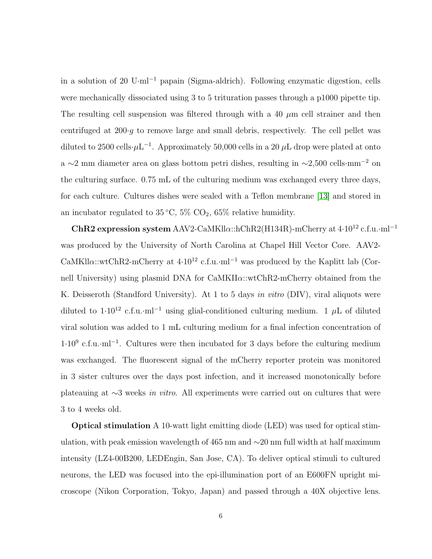in a solution of 20 U·ml<sup>−</sup><sup>1</sup> papain (Sigma-aldrich). Following enzymatic digestion, cells were mechanically dissociated using 3 to 5 trituration passes through a p1000 pipette tip. The resulting cell suspension was filtered through with a 40  $\mu$ m cell strainer and then centrifuged at  $200 \cdot q$  to remove large and small debris, respectively. The cell pellet was diluted to 2500 cells $\cdot \mu L^{-1}$ . Approximately 50,000 cells in a 20  $\mu$ L drop were plated at onto a ∼2 mm diameter area on glass bottom petri dishes, resulting in ∼2,500 cells·mm<sup>−</sup><sup>2</sup> on the culturing surface. 0.75 mL of the culturing medium was exchanged every three days, for each culture. Cultures dishes were sealed with a Teflon membrane [\[13\]](#page-15-1) and stored in an incubator regulated to  $35^{\circ}\text{C}, 5\%$  CO<sub>2</sub>,  $65\%$  relative humidity.

 $ChR2$  expression system AAV2-CaMKllα::hChR2(H134R)-mCherry at 4·10<sup>12</sup> c.f.u.·ml<sup>−1</sup> was produced by the University of North Carolina at Chapel Hill Vector Core. AAV2- CaMKll $\alpha$ ::wtChR2-mCherry at 4·10<sup>12</sup> c.f.u.·ml<sup>-1</sup> was produced by the Kaplitt lab (Cornell University) using plasmid DNA for  $CaMKII\alpha::wtChR2-mCherry$  obtained from the K. Deisseroth (Standford University). At 1 to 5 days in vitro (DIV), viral aliquots were diluted to  $1.10^{12}$  c.f.u.·ml<sup>-1</sup> using glial-conditioned culturing medium. 1 µL of diluted viral solution was added to 1 mL culturing medium for a final infection concentration of  $1.10<sup>9</sup>$  c.f.u.·ml<sup>-1</sup>. Cultures were then incubated for 3 days before the culturing medium was exchanged. The fluorescent signal of the mCherry reporter protein was monitored in 3 sister cultures over the days post infection, and it increased monotonically before plateauing at <sup>∼</sup>3 weeks in vitro. All experiments were carried out on cultures that were 3 to 4 weeks old.

Optical stimulation A 10-watt light emitting diode (LED) was used for optical stimulation, with peak emission wavelength of 465 nm and ∼20 nm full width at half maximum intensity (LZ4-00B200, LEDEngin, San Jose, CA). To deliver optical stimuli to cultured neurons, the LED was focused into the epi-illumination port of an E600FN upright microscope (Nikon Corporation, Tokyo, Japan) and passed through a 40X objective lens.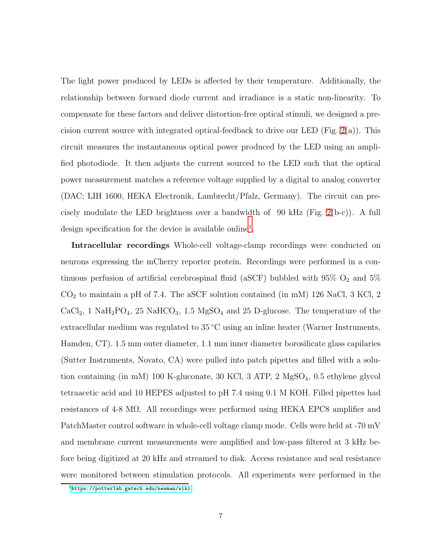The light power produced by LEDs is affected by their temperature. Additionally, the relationship between forward diode current and irradiance is a static non-linearity. To compensate for these factors and deliver distortion-free optical stimuli, we designed a pre-cision current source with integrated optical-feedback to drive our LED (Fig. [2\(](#page-17-0)a)). This circuit measures the instantaneous optical power produced by the LED using an amplified photodiode. It then adjusts the current sourced to the LED such that the optical power measurement matches a reference voltage supplied by a digital to analog converter (DAC; LIH 1600, HEKA Electronik, Lambrecht/Pfalz, Germany). The circuit can precisely modulate the LED brightness over a bandwidth of 90 kHz (Fig. [2\(](#page-17-0)b-c)). A full design specification for the device is available online<sup>[1](#page-7-0)</sup>.

Intracellular recordings Whole-cell voltage-clamp recordings were conducted on neurons expressing the mCherry reporter protein. Recordings were performed in a continuous perfusion of artificial cerebrospinal fluid (aSCF) bubbled with  $95\%$  O<sub>2</sub> and  $5\%$  $CO<sub>2</sub>$  to maintain a pH of 7.4. The aSCF solution contained (in mM) 126 NaCl, 3 KCl, 2 CaCl<sub>2</sub>, 1 NaH<sub>2</sub>PO<sub>4</sub>, 25 NaHCO<sub>3</sub>, 1.5 MgSO<sub>4</sub> and 25 D-glucose. The temperature of the extracellular medium was regulated to 35 ◦C using an inline heater (Warner Instruments, Hamden, CT). 1.5 mm outer diameter, 1.1 mm inner diameter borosilicate glass capilaries (Sutter Instruments, Novato, CA) were pulled into patch pipettes and filled with a solution containing (in mM) 100 K-gluconate, 30 KCl, 3 ATP, 2  $MgSO<sub>4</sub>$ , 0.5 ethylene glycol tetraacetic acid and 10 HEPES adjusted to pH 7.4 using 0.1 M KOH. Filled pipettes had resistances of 4-8 M $\Omega$ . All recordings were performed using HEKA EPC8 amplifier and PatchMaster control software in whole-cell voltage clamp mode. Cells were held at -70 mV and membrane current measurements were amplified and low-pass filtered at 3 kHz before being digitized at 20 kHz and streamed to disk. Access resistance and seal resistance were monitored between stimulation protocols. All experiments were performed in the

<span id="page-7-0"></span><sup>1</sup><https://potterlab.gatech.edu/newman/wiki>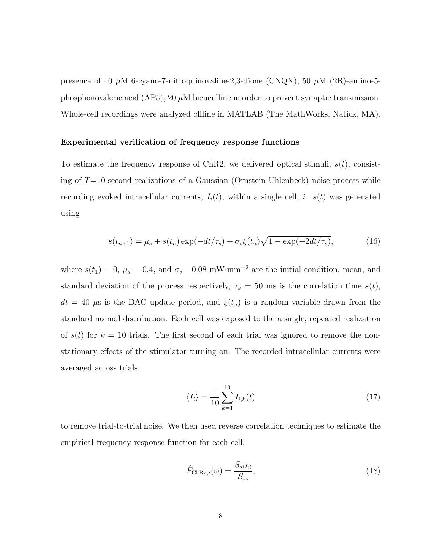presence of 40  $\mu$ M 6-cyano-7-nitroquinoxaline-2,3-dione (CNQX), 50  $\mu$ M (2R)-amino-5phosphonovaleric acid (AP5), 20  $\mu$ M bicuculline in order to prevent synaptic transmission. Whole-cell recordings were analyzed offline in MATLAB (The MathWorks, Natick, MA).

#### Experimental verification of frequency response functions

To estimate the frequency response of ChR2, we delivered optical stimuli,  $s(t)$ , consisting of  $T=10$  second realizations of a Gaussian (Ornstein-Uhlenbeck) noise process while recording evoked intracellular currents,  $I_i(t)$ , within a single cell, i.  $s(t)$  was generated using

$$
s(t_{n+1}) = \mu_s + s(t_n) \exp(-dt/\tau_s) + \sigma_s \xi(t_n) \sqrt{1 - \exp(-2dt/\tau_s)},
$$
(16)

where  $s(t_1) = 0$ ,  $\mu_s = 0.4$ , and  $\sigma_s = 0.08$  mW·mm<sup>-2</sup> are the initial condition, mean, and standard deviation of the process respectively,  $\tau_s = 50$  ms is the correlation time  $s(t)$ ,  $dt = 40 \mu s$  is the DAC update period, and  $\xi(t_n)$  is a random variable drawn from the standard normal distribution. Each cell was exposed to the a single, repeated realization of  $s(t)$  for  $k = 10$  trials. The first second of each trial was ignored to remove the nonstationary effects of the stimulator turning on. The recorded intracellular currents were averaged across trials,

$$
\langle I_i \rangle = \frac{1}{10} \sum_{k=1}^{10} I_{i,k}(t) \tag{17}
$$

to remove trial-to-trial noise. We then used reverse correlation techniques to estimate the empirical frequency response function for each cell,

<span id="page-8-0"></span>
$$
\hat{F}_{\text{ChR2},i}(\omega) = \frac{S_{s\langle I_i \rangle}}{S_{ss}},\tag{18}
$$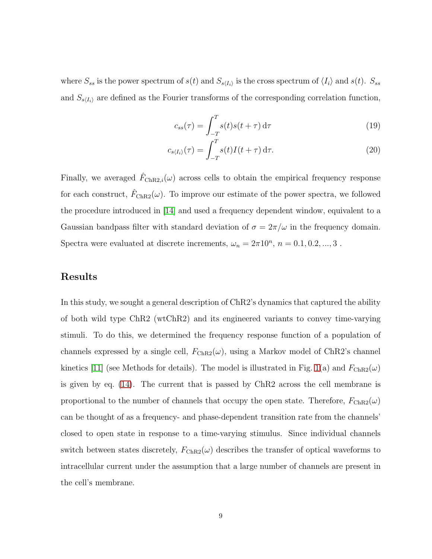where  $S_{ss}$  is the power spectrum of  $s(t)$  and  $S_{s\langle I_i \rangle}$  is the cross spectrum of  $\langle I_i \rangle$  and  $s(t)$ .  $S_{ss}$ and  $S_{s\langle I_i\rangle}$  are defined as the Fourier transforms of the corresponding correlation function,

$$
c_{ss}(\tau) = \int_{-T}^{T} s(t)s(t+\tau) d\tau
$$
\n(19)

$$
c_{s\langle I_i\rangle}(\tau) = \int_{-T}^{T} s(t)I(t+\tau) d\tau.
$$
\n(20)

Finally, we averaged  $\hat{F}_{\text{ChR2},i}(\omega)$  across cells to obtain the empirical frequency response for each construct,  $\hat{F}_{\text{ChR2}}(\omega)$ . To improve our estimate of the power spectra, we followed the procedure introduced in [\[14\]](#page-15-2) and used a frequency dependent window, equivalent to a Gaussian bandpass filter with standard deviation of  $\sigma = 2\pi/\omega$  in the frequency domain. Spectra were evaluated at discrete increments,  $\omega_n = 2\pi 10^n$ ,  $n = 0.1, 0.2, ..., 3$ .

## Results

In this study, we sought a general description of ChR2's dynamics that captured the ability of both wild type ChR2 (wtChR2) and its engineered variants to convey time-varying stimuli. To do this, we determined the frequency response function of a population of channels expressed by a single cell,  $F_{ChR2}(\omega)$ , using a Markov model of ChR2's channel kinetics [\[11\]](#page-14-8) (see Methods for details). The model is illustrated in Fig. [1\(](#page-16-0)a) and  $F_{\text{ChR2}}(\omega)$ is given by eq. [\(14\)](#page-5-1). The current that is passed by ChR2 across the cell membrane is proportional to the number of channels that occupy the open state. Therefore,  $F_{\text{ChR2}}(\omega)$ can be thought of as a frequency- and phase-dependent transition rate from the channels' closed to open state in response to a time-varying stimulus. Since individual channels switch between states discretely,  $F_{\text{ChR2}}(\omega)$  describes the transfer of optical waveforms to intracellular current under the assumption that a large number of channels are present in the cell's membrane.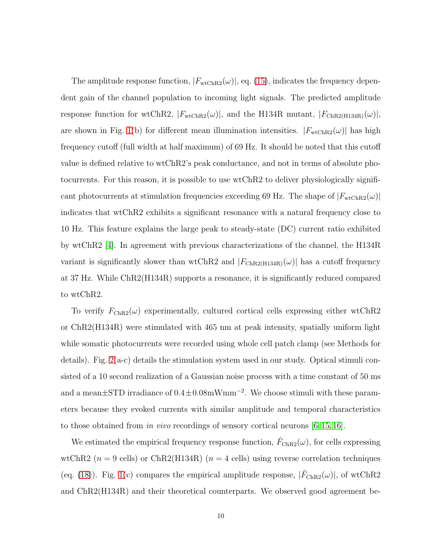The amplitude response function,  $|F_{\text{wtChR2}}(\omega)|$ , eq. [\(15\)](#page-5-2), indicates the frequency dependent gain of the channel population to incoming light signals. The predicted amplitude response function for wtChR2,  $|F_{\text{wtChR2}}(\omega)|$ , and the H134R mutant,  $|F_{\text{ChR2(H134R)}}(\omega)|$ , are shown in Fig. [1\(](#page-16-0)b) for different mean illumination intensities.  $|F_{\text{wtChR2}}(\omega)|$  has high frequency cutoff (full width at half maximum) of 69 Hz. It should be noted that this cutoff value is defined relative to wtChR2's peak conductance, and not in terms of absolute photocurrents. For this reason, it is possible to use wtChR2 to deliver physiologically significant photocurrents at stimulation frequencies exceeding 69 Hz. The shape of  $|F_{\text{wtChR2}}(\omega)|$ indicates that wtChR2 exhibits a significant resonance with a natural frequency close to 10 Hz. This feature explains the large peak to steady-state (DC) current ratio exhibited by wtChR2 [\[4\]](#page-14-1). In agreement with previous characterizations of the channel, the H134R variant is significantly slower than wtChR2 and  $|F_{\text{ChR2(H134R)}}(\omega)|$  has a cutoff frequency at 37 Hz. While ChR2(H134R) supports a resonance, it is significantly reduced compared to wtChR2.

To verify  $F_{\text{ChR2}}(\omega)$  experimentally, cultured cortical cells expressing either wtChR2 or ChR2(H134R) were stimulated with 465 nm at peak intensity, spatially uniform light while somatic photocurrents were recorded using whole cell patch clamp (see Methods for details). Fig. [2\(](#page-17-0)a-c) details the stimulation system used in our study. Optical stimuli consisted of a 10 second realization of a Gaussian noise process with a time constant of 50 ms and a mean $\pm$ STD irradiance of  $0.4 \pm 0.08$ mWmm<sup>-2</sup>. We choose stimuli with these parameters because they evoked currents with similar amplitude and temporal characteristics to those obtained from in vivo recordings of sensory cortical neurons [\[6,](#page-14-3) [15,](#page-15-3) [16\]](#page-15-4).

We estimated the empirical frequency response function,  $\hat{F}_{\text{ChR2}}(\omega)$ , for cells expressing wtChR2 ( $n = 9$  cells) or ChR2(H134R) ( $n = 4$  cells) using reverse correlation techniques (eq. [\(18\)](#page-8-0)). Fig. [1\(](#page-16-0)c) compares the empirical amplitude response,  $|\hat{F}_{\text{ChR2}}(\omega)|$ , of wtChR2 and ChR2(H134R) and their theoretical counterparts. We observed good agreement be-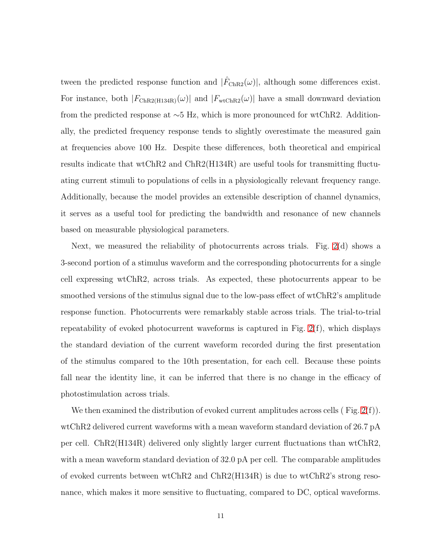tween the predicted response function and  $|\hat{F}_{\text{ChR2}}(\omega)|$ , although some differences exist. For instance, both  $|F_{\text{ChR2(H134R)}}(\omega)|$  and  $|F_{\text{wtChR2}}(\omega)|$  have a small downward deviation from the predicted response at ∼5 Hz, which is more pronounced for wtChR2. Additionally, the predicted frequency response tends to slightly overestimate the measured gain at frequencies above 100 Hz. Despite these differences, both theoretical and empirical results indicate that wtChR2 and ChR2(H134R) are useful tools for transmitting fluctuating current stimuli to populations of cells in a physiologically relevant frequency range. Additionally, because the model provides an extensible description of channel dynamics, it serves as a useful tool for predicting the bandwidth and resonance of new channels based on measurable physiological parameters.

Next, we measured the reliability of photocurrents across trials. Fig. [2\(](#page-17-0)d) shows a 3-second portion of a stimulus waveform and the corresponding photocurrents for a single cell expressing wtChR2, across trials. As expected, these photocurrents appear to be smoothed versions of the stimulus signal due to the low-pass effect of wtChR2's amplitude response function. Photocurrents were remarkably stable across trials. The trial-to-trial repeatability of evoked photocurrent waveforms is captured in Fig. [2\(](#page-17-0)f), which displays the standard deviation of the current waveform recorded during the first presentation of the stimulus compared to the 10th presentation, for each cell. Because these points fall near the identity line, it can be inferred that there is no change in the efficacy of photostimulation across trials.

We then examined the distribution of evoked current amplitudes across cells  $(Fig. 2(f))$  $(Fig. 2(f))$  $(Fig. 2(f))$ . wtChR2 delivered current waveforms with a mean waveform standard deviation of 26.7 pA per cell. ChR2(H134R) delivered only slightly larger current fluctuations than wtChR2, with a mean waveform standard deviation of 32.0 pA per cell. The comparable amplitudes of evoked currents between wtChR2 and ChR2(H134R) is due to wtChR2's strong resonance, which makes it more sensitive to fluctuating, compared to DC, optical waveforms.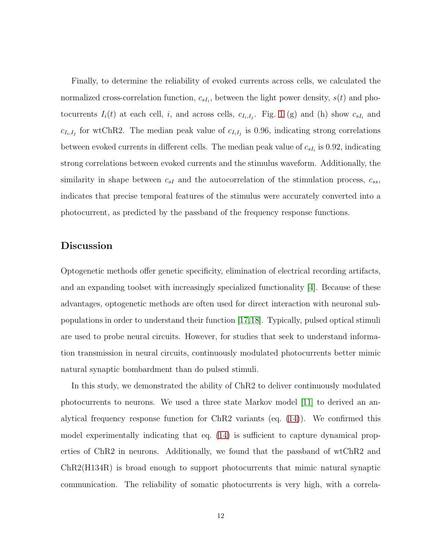Finally, to determine the reliability of evoked currents across cells, we calculated the normalized cross-correlation function,  $c_{sI_i}$ , between the light power density,  $s(t)$  and photocurrents  $I_i(t)$  at each cell, i, and across cells,  $c_{I_i,I_j}$ . Fig. [1](#page-16-0) (g) and (h) show  $c_{sI_i}$  and  $c_{I_i,I_j}$  for wtChR2. The median peak value of  $c_{I_i,I_j}$  is 0.96, indicating strong correlations between evoked currents in different cells. The median peak value of  $c_{sI_i}$  is 0.92, indicating strong correlations between evoked currents and the stimulus waveform. Additionally, the similarity in shape between  $c_{sI}$  and the autocorrelation of the stimulation process,  $c_{ss}$ , indicates that precise temporal features of the stimulus were accurately converted into a photocurrent, as predicted by the passband of the frequency response functions.

### Discussion

Optogenetic methods offer genetic specificity, elimination of electrical recording artifacts, and an expanding toolset with increasingly specialized functionality [\[4\]](#page-14-1). Because of these advantages, optogenetic methods are often used for direct interaction with neuronal subpopulations in order to understand their function [\[17,](#page-15-5)[18\]](#page-15-6). Typically, pulsed optical stimuli are used to probe neural circuits. However, for studies that seek to understand information transmission in neural circuits, continuously modulated photocurrents better mimic natural synaptic bombardment than do pulsed stimuli.

In this study, we demonstrated the ability of ChR2 to deliver continuously modulated photocurrents to neurons. We used a three state Markov model [\[11\]](#page-14-8) to derived an analytical frequency response function for ChR2 variants (eq.  $(14)$ ). We confirmed this model experimentally indicating that eq. [\(14\)](#page-5-1) is sufficient to capture dynamical properties of ChR2 in neurons. Additionally, we found that the passband of wtChR2 and ChR2(H134R) is broad enough to support photocurrents that mimic natural synaptic communication. The reliability of somatic photocurrents is very high, with a correla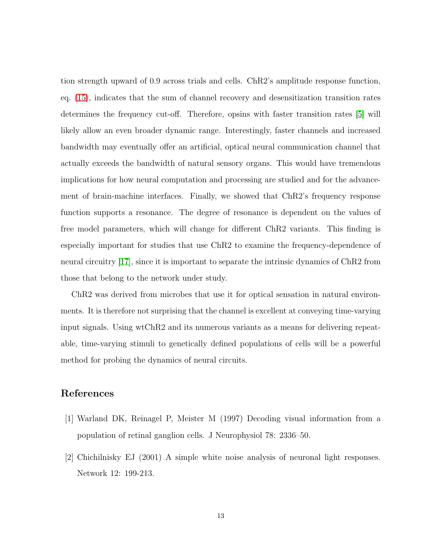tion strength upward of 0.9 across trials and cells. ChR2's amplitude response function, eq. [\(15\)](#page-5-2), indicates that the sum of channel recovery and desensitization transition rates determines the frequency cut-off. Therefore, opsins with faster transition rates [\[5\]](#page-14-2) will likely allow an even broader dynamic range. Interestingly, faster channels and increased bandwidth may eventually offer an artificial, optical neural communication channel that actually exceeds the bandwidth of natural sensory organs. This would have tremendous implications for how neural computation and processing are studied and for the advancement of brain-machine interfaces. Finally, we showed that ChR2's frequency response function supports a resonance. The degree of resonance is dependent on the values of free model parameters, which will change for different ChR2 variants. This finding is especially important for studies that use ChR2 to examine the frequency-dependence of neural circuitry [\[17\]](#page-15-5), since it is important to separate the intrinsic dynamics of ChR2 from those that belong to the network under study.

ChR2 was derived from microbes that use it for optical sensation in natural environments. It is therefore not surprising that the channel is excellent at conveying time-varying input signals. Using wtChR2 and its numerous variants as a means for delivering repeatable, time-varying stimuli to genetically defined populations of cells will be a powerful method for probing the dynamics of neural circuits.

# <span id="page-13-0"></span>References

- [1] Warland DK, Reinagel P, Meister M (1997) Decoding visual information from a population of retinal ganglion cells. J Neurophysiol 78: 2336–50.
- [2] Chichilnisky EJ (2001) A simple white noise analysis of neuronal light responses. Network 12: 199-213.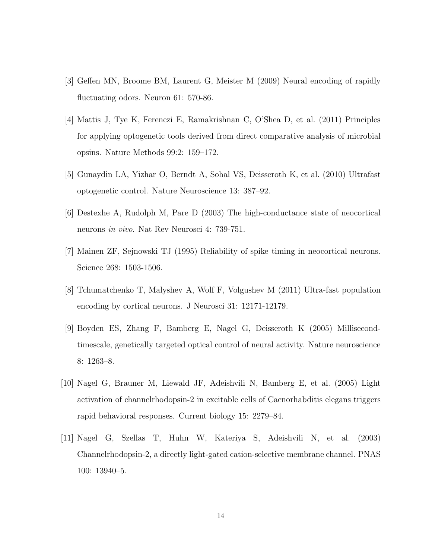- <span id="page-14-1"></span><span id="page-14-0"></span>[3] Geffen MN, Broome BM, Laurent G, Meister M (2009) Neural encoding of rapidly fluctuating odors. Neuron 61: 570-86.
- [4] Mattis J, Tye K, Ferenczi E, Ramakrishnan C, O'Shea D, et al. (2011) Principles for applying optogenetic tools derived from direct comparative analysis of microbial opsins. Nature Methods 99:2: 159–172.
- <span id="page-14-3"></span><span id="page-14-2"></span>[5] Gunaydin LA, Yizhar O, Berndt A, Sohal VS, Deisseroth K, et al. (2010) Ultrafast optogenetic control. Nature Neuroscience 13: 387–92.
- <span id="page-14-4"></span>[6] Destexhe A, Rudolph M, Pare D (2003) The high-conductance state of neocortical neurons in vivo. Nat Rev Neurosci 4: 739-751.
- <span id="page-14-5"></span>[7] Mainen ZF, Sejnowski TJ (1995) Reliability of spike timing in neocortical neurons. Science 268: 1503-1506.
- <span id="page-14-6"></span>[8] Tchumatchenko T, Malyshev A, Wolf F, Volgushev M (2011) Ultra-fast population encoding by cortical neurons. J Neurosci 31: 12171-12179.
- [9] Boyden ES, Zhang F, Bamberg E, Nagel G, Deisseroth K (2005) Millisecondtimescale, genetically targeted optical control of neural activity. Nature neuroscience 8: 1263–8.
- <span id="page-14-7"></span>[10] Nagel G, Brauner M, Liewald JF, Adeishvili N, Bamberg E, et al. (2005) Light activation of channelrhodopsin-2 in excitable cells of Caenorhabditis elegans triggers rapid behavioral responses. Current biology 15: 2279–84.
- <span id="page-14-8"></span>[11] Nagel G, Szellas T, Huhn W, Kateriya S, Adeishvili N, et al. (2003) Channelrhodopsin-2, a directly light-gated cation-selective membrane channel. PNAS 100: 13940–5.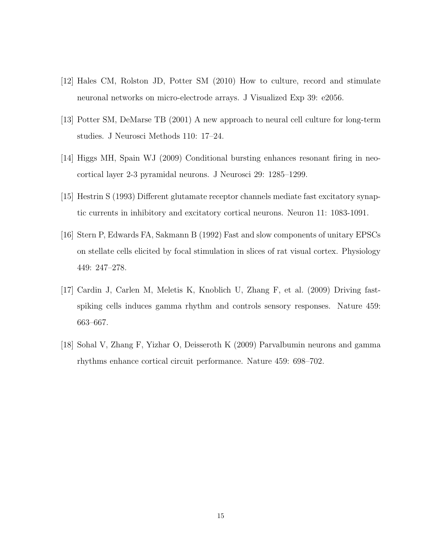- <span id="page-15-1"></span><span id="page-15-0"></span>[12] Hales CM, Rolston JD, Potter SM (2010) How to culture, record and stimulate neuronal networks on micro-electrode arrays. J Visualized Exp 39: e2056.
- <span id="page-15-2"></span>[13] Potter SM, DeMarse TB (2001) A new approach to neural cell culture for long-term studies. J Neurosci Methods 110: 17–24.
- <span id="page-15-3"></span>[14] Higgs MH, Spain WJ (2009) Conditional bursting enhances resonant firing in neocortical layer 2-3 pyramidal neurons. J Neurosci 29: 1285–1299.
- <span id="page-15-4"></span>[15] Hestrin S (1993) Different glutamate receptor channels mediate fast excitatory synaptic currents in inhibitory and excitatory cortical neurons. Neuron 11: 1083-1091.
- <span id="page-15-5"></span>[16] Stern P, Edwards FA, Sakmann B (1992) Fast and slow components of unitary EPSCs on stellate cells elicited by focal stimulation in slices of rat visual cortex. Physiology 449: 247–278.
- <span id="page-15-6"></span>[17] Cardin J, Carlen M, Meletis K, Knoblich U, Zhang F, et al. (2009) Driving fastspiking cells induces gamma rhythm and controls sensory responses. Nature 459: 663–667.
- [18] Sohal V, Zhang F, Yizhar O, Deisseroth K (2009) Parvalbumin neurons and gamma rhythms enhance cortical circuit performance. Nature 459: 698–702.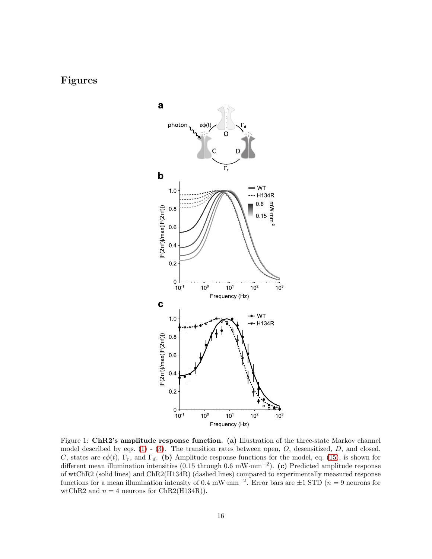# Figures



<span id="page-16-0"></span>Figure 1: ChR2's amplitude response function. (a) Illustration of the three-state Markov channel model described by eqs.  $(1)$  -  $(3)$ . The transition rates between open, O, desensitized, D, and closed, C, states are  $\epsilon\phi(t)$ ,  $\Gamma_r$ , and  $\Gamma_d$ . (b) Amplitude response functions for the model, eq. [\(15\)](#page-5-2), is shown for different mean illumination intensities (0.15 through 0.6 mW·mm<sup>−</sup><sup>2</sup> ). (c) Predicted amplitude response of wtChR2 (solid lines) and ChR2(H134R) (dashed lines) compared to experimentally measured response functions for a mean illumination intensity of 0.4 mW·mm<sup>-2</sup>. Error bars are  $\pm 1$  STD (*n* = 9 neurons for wtChR2 and  $n = 4$  neurons for ChR2(H134R)).